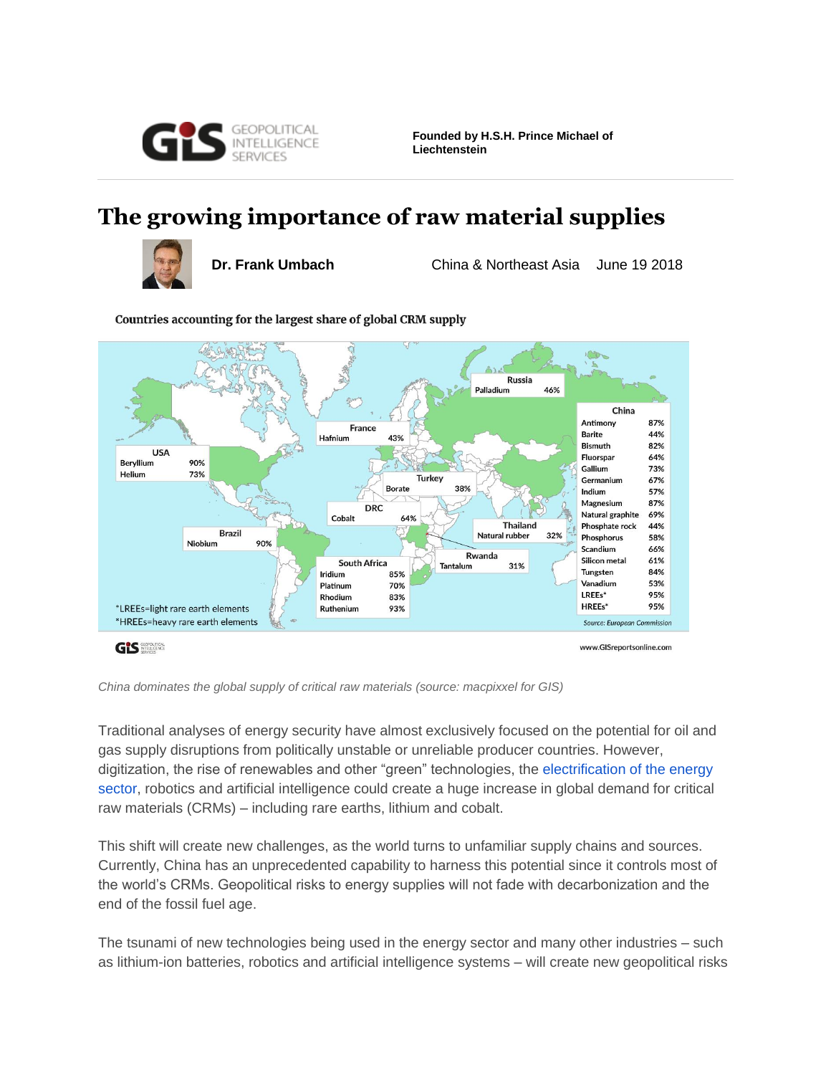

**Founded by H.S.H. Prince Michael of Liechtenstein**

# **The growing importance of raw material supplies**



**Dr. Frank Umbach** China & Northeast Asia June 19 2018



Countries accounting for the largest share of global CRM supply

*China dominates the global supply of critical raw materials (source: macpixxel for GIS)*

Traditional analyses of energy security have almost exclusively focused on the potential for oil and gas supply disruptions from politically unstable or unreliable producer countries. However, digitization, the rise of renewables and other "green" technologies, the [electrification of the energy](https://mandrillapp.com/track/click/30870981/www.gisreportsonline.com?p=eyJzIjoiblV4S0lYd3NMLVBwNGJLajIyWVJzdFdpcmJnIiwidiI6MSwicCI6IntcInVcIjozMDg3MDk4MSxcInZcIjoxLFwidXJsXCI6XCJodHRwczpcXFwvXFxcL3d3dy5naXNyZXBvcnRzb25saW5lLmNvbVxcXC9pbmNyZWFzZWQtZWxlY3RyaWNpdHktdXNhZ2UtY291bGQtZGVyYWlsLWV1LWVuZXJneS10YXJnZXRzLGVuZXJneSwyNDMzLmh0bWxcIixcImlkXCI6XCI0Yzk3YWUzNzNjMjE0ZWFmOTFkYmRkYWIwOWNiYzllZFwiLFwidXJsX2lkc1wiOltcIjNjZmI4ODhlNDI2NWMyN2JmZjQ1NWE1MThlNjkwYTNjYTliZThlZGVcIl19In0)  [sector,](https://mandrillapp.com/track/click/30870981/www.gisreportsonline.com?p=eyJzIjoiblV4S0lYd3NMLVBwNGJLajIyWVJzdFdpcmJnIiwidiI6MSwicCI6IntcInVcIjozMDg3MDk4MSxcInZcIjoxLFwidXJsXCI6XCJodHRwczpcXFwvXFxcL3d3dy5naXNyZXBvcnRzb25saW5lLmNvbVxcXC9pbmNyZWFzZWQtZWxlY3RyaWNpdHktdXNhZ2UtY291bGQtZGVyYWlsLWV1LWVuZXJneS10YXJnZXRzLGVuZXJneSwyNDMzLmh0bWxcIixcImlkXCI6XCI0Yzk3YWUzNzNjMjE0ZWFmOTFkYmRkYWIwOWNiYzllZFwiLFwidXJsX2lkc1wiOltcIjNjZmI4ODhlNDI2NWMyN2JmZjQ1NWE1MThlNjkwYTNjYTliZThlZGVcIl19In0) robotics and artificial intelligence could create a huge increase in global demand for critical raw materials (CRMs) – including rare earths, lithium and cobalt.

This shift will create new challenges, as the world turns to unfamiliar supply chains and sources. Currently, China has an unprecedented capability to harness this potential since it controls most of the world's CRMs. Geopolitical risks to energy supplies will not fade with decarbonization and the end of the fossil fuel age.

The tsunami of new technologies being used in the energy sector and many other industries – such as lithium-ion batteries, robotics and artificial intelligence systems – will create new geopolitical risks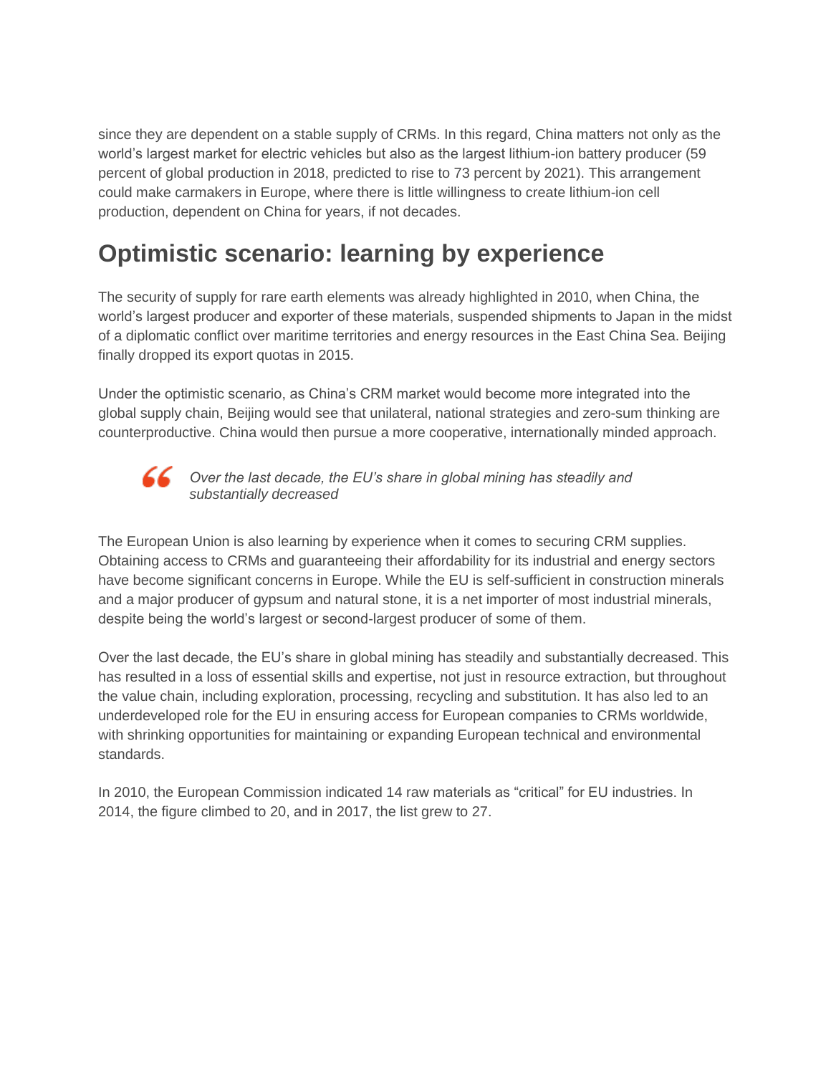since they are dependent on a stable supply of CRMs. In this regard, China matters not only as the world's largest market for electric vehicles but also as the largest lithium-ion battery producer (59 percent of global production in 2018, predicted to rise to 73 percent by 2021). This arrangement could make carmakers in Europe, where there is little willingness to create lithium-ion cell production, dependent on China for years, if not decades.

# **Optimistic scenario: learning by experience**

The security of supply for rare earth elements was already highlighted in 2010, when China, the world's largest producer and exporter of these materials, suspended shipments to Japan in the midst of a diplomatic conflict over maritime territories and energy resources in the East China Sea. Beijing finally dropped its export quotas in 2015.

Under the optimistic scenario, as China's CRM market would become more integrated into the global supply chain, Beijing would see that unilateral, national strategies and zero-sum thinking are counterproductive. China would then pursue a more cooperative, internationally minded approach.



*Over the last decade, the EU's share in global mining has steadily and substantially decreased*

The European Union is also learning by experience when it comes to securing CRM supplies. Obtaining access to CRMs and guaranteeing their affordability for its industrial and energy sectors have become significant concerns in Europe. While the EU is self-sufficient in construction minerals and a major producer of gypsum and natural stone, it is a net importer of most industrial minerals, despite being the world's largest or second-largest producer of some of them.

Over the last decade, the EU's share in global mining has steadily and substantially decreased. This has resulted in a loss of essential skills and expertise, not just in resource extraction, but throughout the value chain, including exploration, processing, recycling and substitution. It has also led to an underdeveloped role for the EU in ensuring access for European companies to CRMs worldwide, with shrinking opportunities for maintaining or expanding European technical and environmental standards.

In 2010, the European Commission indicated 14 raw materials as "critical" for EU industries. In 2014, the figure climbed to 20, and in 2017, the list grew to 27.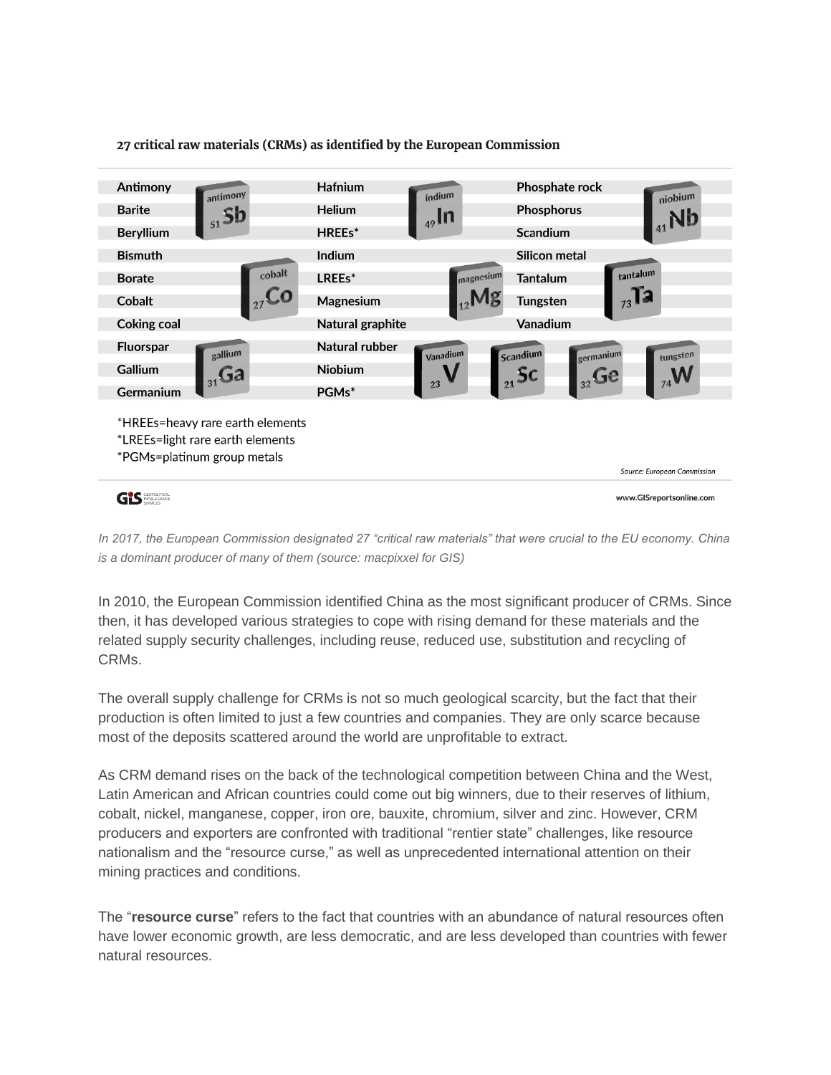

*In 2017, the European Commission designated 27 "critical raw materials" that were crucial to the EU economy. China is a dominant producer of many of them (source: macpixxel for GIS)*

In 2010, the European Commission identified China as the most significant producer of CRMs. Since then, it has developed various strategies to cope with rising demand for these materials and the related supply security challenges, including reuse, reduced use, substitution and recycling of CRMs.

The overall supply challenge for CRMs is not so much geological scarcity, but the fact that their production is often limited to just a few countries and companies. They are only scarce because most of the deposits scattered around the world are unprofitable to extract.

As CRM demand rises on the back of the technological competition between China and the West, Latin American and African countries could come out big winners, due to their reserves of lithium, cobalt, nickel, manganese, copper, iron ore, bauxite, chromium, silver and zinc. However, CRM producers and exporters are confronted with traditional "rentier state" challenges, like resource nationalism and the "resource curse," as well as unprecedented international attention on their mining practices and conditions.

The "**resource curse**" refers to the fact that countries with an abundance of natural resources often have lower economic growth, are less democratic, and are less developed than countries with fewer natural resources.

### 27 critical raw materials (CRMs) as identified by the European Commission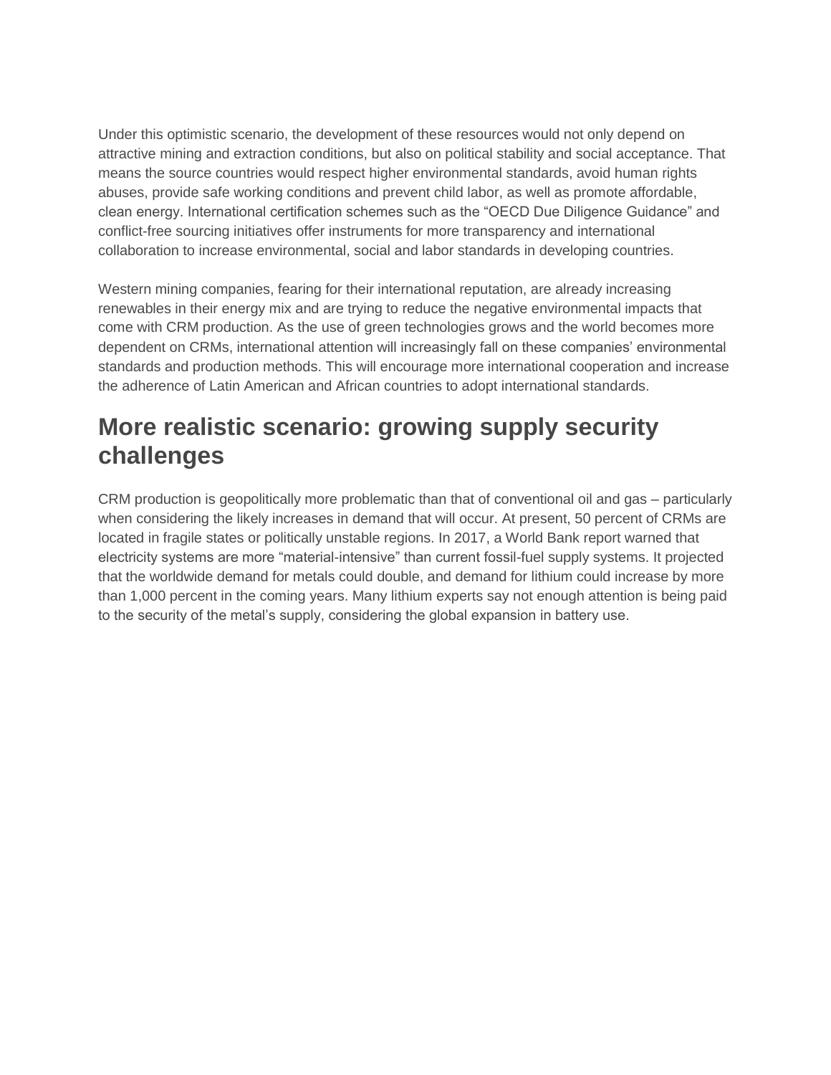Under this optimistic scenario, the development of these resources would not only depend on attractive mining and extraction conditions, but also on political stability and social acceptance. That means the source countries would respect higher environmental standards, avoid human rights abuses, provide safe working conditions and prevent child labor, as well as promote affordable, clean energy. International certification schemes such as the "OECD Due Diligence Guidance" and conflict-free sourcing initiatives offer instruments for more transparency and international collaboration to increase environmental, social and labor standards in developing countries.

Western mining companies, fearing for their international reputation, are already increasing renewables in their energy mix and are trying to reduce the negative environmental impacts that come with CRM production. As the use of green technologies grows and the world becomes more dependent on CRMs, international attention will increasingly fall on these companies' environmental standards and production methods. This will encourage more international cooperation and increase the adherence of Latin American and African countries to adopt international standards.

# **More realistic scenario: growing supply security challenges**

CRM production is geopolitically more problematic than that of conventional oil and gas – particularly when considering the likely increases in demand that will occur. At present, 50 percent of CRMs are located in fragile states or politically unstable regions. In 2017, a World Bank report warned that electricity systems are more "material-intensive" than current fossil-fuel supply systems. It projected that the worldwide demand for metals could double, and demand for lithium could increase by more than 1,000 percent in the coming years. Many lithium experts say not enough attention is being paid to the security of the metal's supply, considering the global expansion in battery use.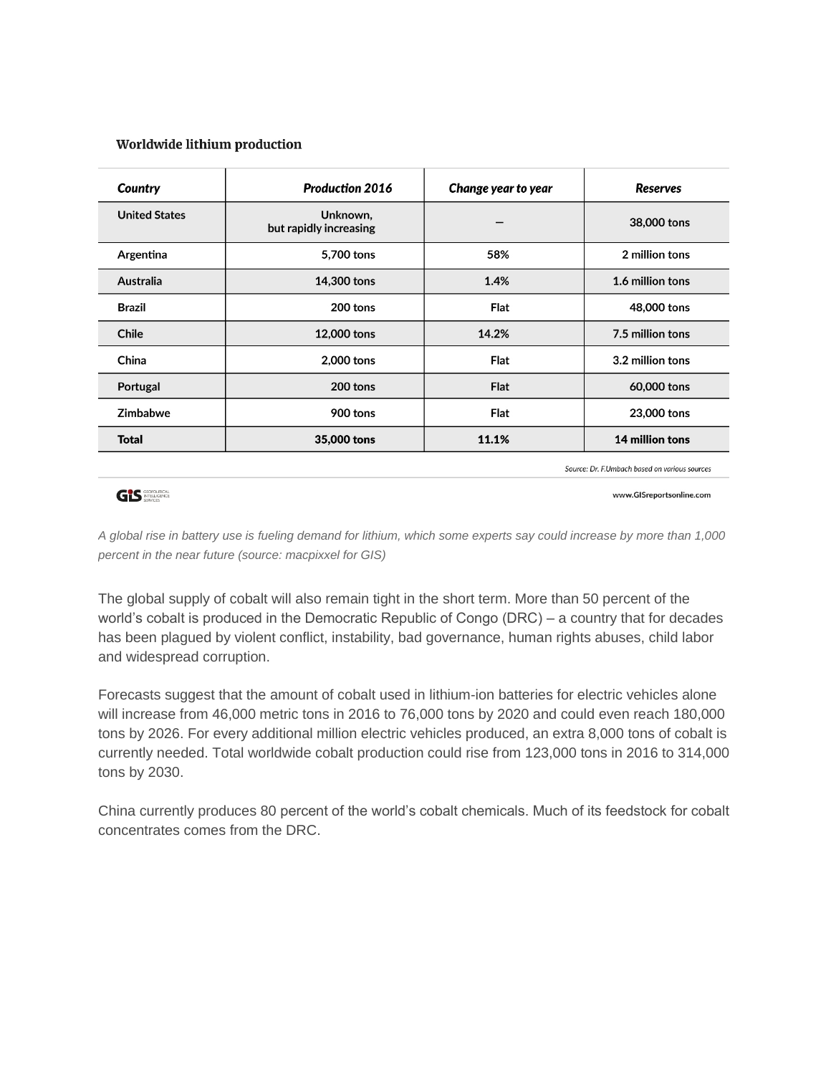## Worldwide lithium production

| Country              | <b>Production 2016</b>             | Change year to year | <b>Reserves</b>  |
|----------------------|------------------------------------|---------------------|------------------|
| <b>United States</b> | Unknown,<br>but rapidly increasing |                     | 38,000 tons      |
| Argentina            | 5,700 tons                         | 58%                 | 2 million tons   |
| Australia            | 14,300 tons                        | 1.4%                | 1.6 million tons |
| Brazil               | 200 tons                           | <b>Flat</b>         | 48,000 tons      |
| Chile                | 12,000 tons                        | 14.2%               | 7.5 million tons |
| China                | 2,000 tons                         | <b>Flat</b>         | 3.2 million tons |
| Portugal             | 200 tons                           | <b>Flat</b>         | 60,000 tons      |
| Zimbabwe             | 900 tons                           | <b>Flat</b>         | 23,000 tons      |
| <b>Total</b>         | 35,000 tons                        | 11.1%               | 14 million tons  |

Source: Dr. F.Umbach based on various sources

# **GIS SECPOLITICAL**

www.GISreportsonline.com

*A global rise in battery use is fueling demand for lithium, which some experts say could increase by more than 1,000 percent in the near future (source: macpixxel for GIS)*

The global supply of cobalt will also remain tight in the short term. More than 50 percent of the world's cobalt is produced in the Democratic Republic of Congo (DRC) – a country that for decades has been plagued by violent conflict, instability, bad governance, human rights abuses, child labor and widespread corruption.

Forecasts suggest that the amount of cobalt used in lithium-ion batteries for electric vehicles alone will increase from 46,000 metric tons in 2016 to 76,000 tons by 2020 and could even reach 180,000 tons by 2026. For every additional million electric vehicles produced, an extra 8,000 tons of cobalt is currently needed. Total worldwide cobalt production could rise from 123,000 tons in 2016 to 314,000 tons by 2030.

China currently produces 80 percent of the world's cobalt chemicals. Much of its feedstock for cobalt concentrates comes from the DRC.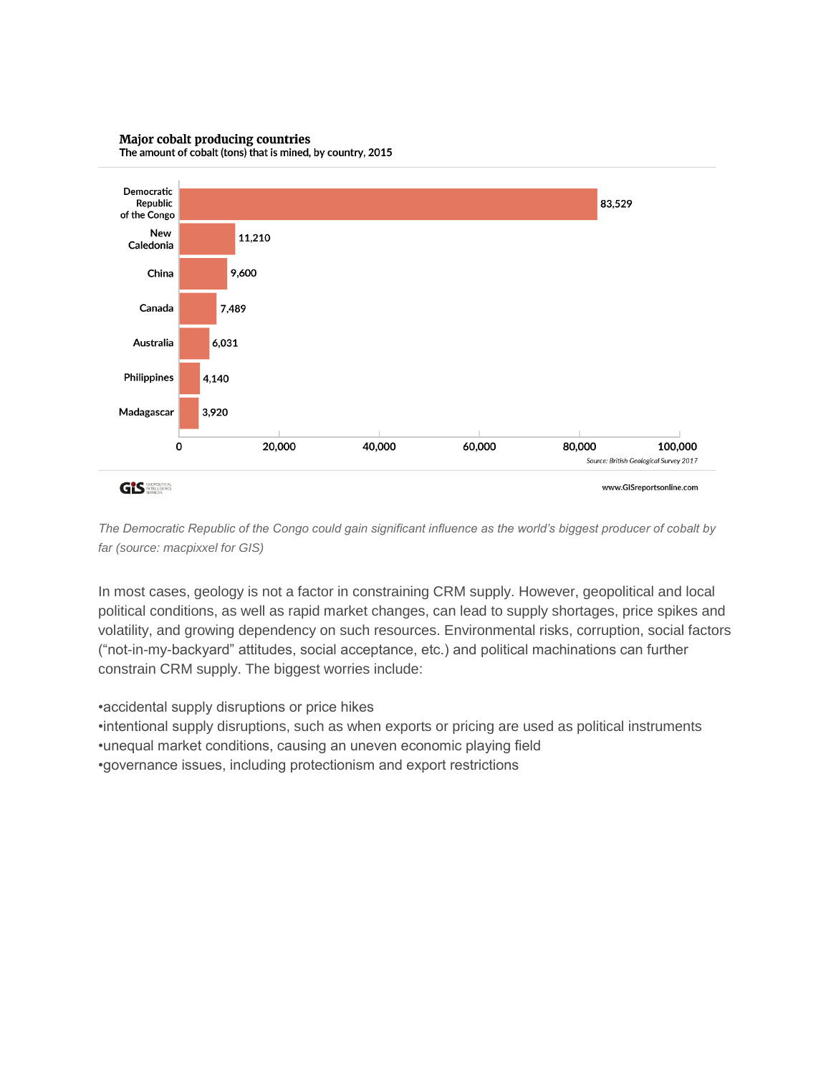### Major cobalt producing countries



The amount of cobalt (tons) that is mined, by country, 2015

*The Democratic Republic of the Congo could gain significant influence as the world's biggest producer of cobalt by far (source: macpixxel for GIS)*

In most cases, geology is not a factor in constraining CRM supply. However, geopolitical and local political conditions, as well as rapid market changes, can lead to supply shortages, price spikes and volatility, and growing dependency on such resources. Environmental risks, corruption, social factors ("not-in-my-backyard" attitudes, social acceptance, etc.) and political machinations can further constrain CRM supply. The biggest worries include:

•accidental supply disruptions or price hikes

•intentional supply disruptions, such as when exports or pricing are used as political instruments

•unequal market conditions, causing an uneven economic playing field

•governance issues, including protectionism and export restrictions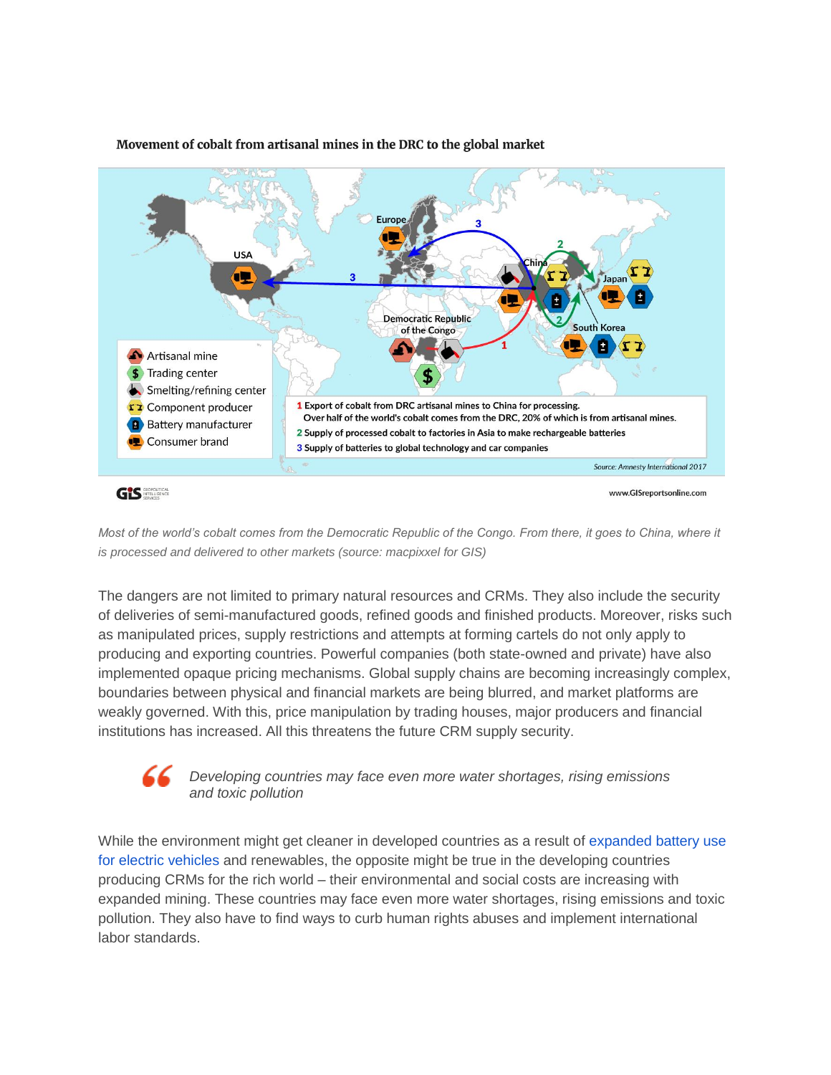

## Movement of cobalt from artisanal mines in the DRC to the global market

*Most of the world's cobalt comes from the Democratic Republic of the Congo. From there, it goes to China, where it is processed and delivered to other markets (source: macpixxel for GIS)*

The dangers are not limited to primary natural resources and CRMs. They also include the security of deliveries of semi-manufactured goods, refined goods and finished products. Moreover, risks such as manipulated prices, supply restrictions and attempts at forming cartels do not only apply to producing and exporting countries. Powerful companies (both state-owned and private) have also implemented opaque pricing mechanisms. Global supply chains are becoming increasingly complex, boundaries between physical and financial markets are being blurred, and market platforms are weakly governed. With this, price manipulation by trading houses, major producers and financial institutions has increased. All this threatens the future CRM supply security.

# *Developing countries may face even more water shortages, rising emissions and toxic pollution*

While the environment might get cleaner in developed countries as a result of expanded battery use [for electric vehicles](https://mandrillapp.com/track/click/30870981/www.gisreportsonline.com?p=eyJzIjoiUE4ybE9iSWozRUZkNmFlcDQzYlU4bVpPOElBIiwidiI6MSwicCI6IntcInVcIjozMDg3MDk4MSxcInZcIjoxLFwidXJsXCI6XCJodHRwczpcXFwvXFxcL3d3dy5naXNyZXBvcnRzb25saW5lLmNvbVxcXC9mb3VyLWltcGxpY2F0aW9ucy1vZi1lbGVjdHJpYy1tb2JpbGl0eSxlbmVyZ3ksMjM3OS5odG1sXCIsXCJpZFwiOlwiNGM5N2FlMzczYzIxNGVhZjkxZGJkZGFiMDljYmM5ZWRcIixcInVybF9pZHNcIjpbXCJkNzlkMTg4YmJkZWJiN2VmMjViMTgxODZiZGZmNzAyMTM4MWQyMGM4XCJdfSJ9) and renewables, the opposite might be true in the developing countries producing CRMs for the rich world – their environmental and social costs are increasing with expanded mining. These countries may face even more water shortages, rising emissions and toxic pollution. They also have to find ways to curb human rights abuses and implement international labor standards.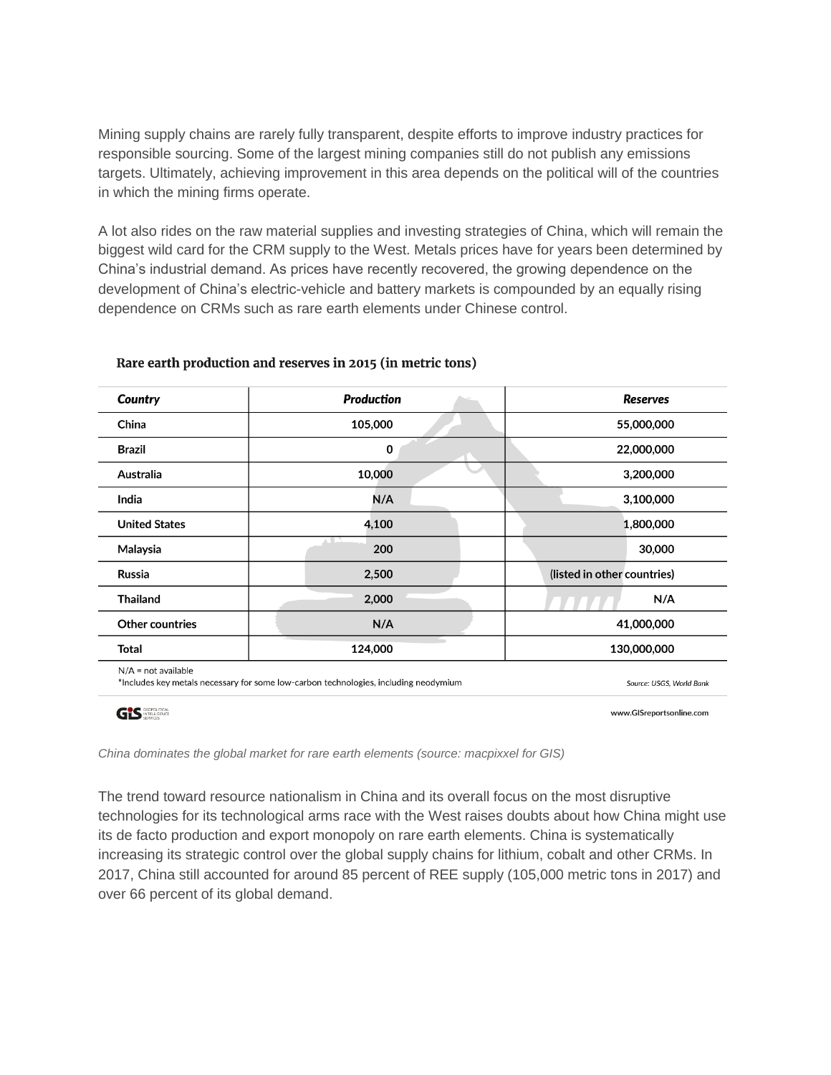Mining supply chains are rarely fully transparent, despite efforts to improve industry practices for responsible sourcing. Some of the largest mining companies still do not publish any emissions targets. Ultimately, achieving improvement in this area depends on the political will of the countries in which the mining firms operate.

A lot also rides on the raw material supplies and investing strategies of China, which will remain the biggest wild card for the CRM supply to the West. Metals prices have for years been determined by China's industrial demand. As prices have recently recovered, the growing dependence on the development of China's electric-vehicle and battery markets is compounded by an equally rising dependence on CRMs such as rare earth elements under Chinese control.

| Country                                                                                                       | <b>Production</b>        | <b>Reserves</b>             |  |
|---------------------------------------------------------------------------------------------------------------|--------------------------|-----------------------------|--|
| China                                                                                                         | 105,000                  | 55,000,000                  |  |
| <b>Brazil</b>                                                                                                 | $\mathbf 0$              | 22,000,000                  |  |
| Australia                                                                                                     | 10,000                   | 3,200,000                   |  |
| India                                                                                                         | N/A                      | 3,100,000                   |  |
| <b>United States</b>                                                                                          | 4,100                    | 1,800,000                   |  |
| Malaysia                                                                                                      | 200                      | 30,000                      |  |
| Russia                                                                                                        | 2,500                    | (listed in other countries) |  |
| <b>Thailand</b>                                                                                               | 2,000                    | N/A                         |  |
| <b>Other countries</b>                                                                                        | N/A                      | 41,000,000                  |  |
| Total                                                                                                         | 124,000                  | 130,000,000                 |  |
| $N/A$ = not available<br>*Includes key metals necessary for some low-carbon technologies, including neodymium | Source: USGS, World Bank |                             |  |

# Rare earth production and reserves in 2015 (in metric tons)

GIS **SECPOLITICAL** 

www.GISreportsonline.com

*China dominates the global market for rare earth elements (source: macpixxel for GIS)*

The trend toward resource nationalism in China and its overall focus on the most disruptive technologies for its technological arms race with the West raises doubts about how China might use its de facto production and export monopoly on rare earth elements. China is systematically increasing its strategic control over the global supply chains for lithium, cobalt and other CRMs. In 2017, China still accounted for around 85 percent of REE supply (105,000 metric tons in 2017) and over 66 percent of its global demand.